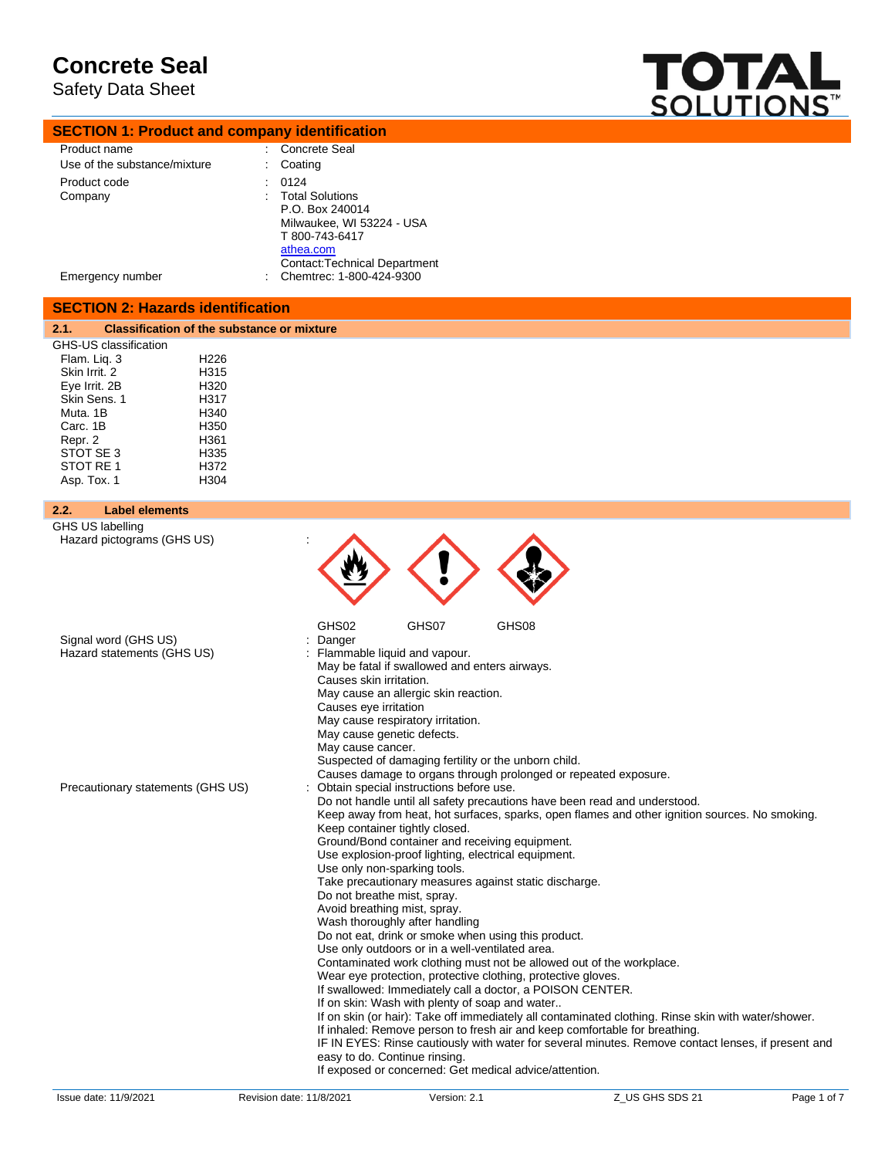Safety Data Sheet

**SECTION 1: Product and company identification**



| Product name                                                                                                                                                                                                                                                    | <b>Concrete Seal</b>                                                                                                                                                                                                                                                                                                                                                                                                                                                                                                                                                                                                                                                                                                                                                                                                                                                                                                                                                                                                                                                                                                                                                                                                                                       |
|-----------------------------------------------------------------------------------------------------------------------------------------------------------------------------------------------------------------------------------------------------------------|------------------------------------------------------------------------------------------------------------------------------------------------------------------------------------------------------------------------------------------------------------------------------------------------------------------------------------------------------------------------------------------------------------------------------------------------------------------------------------------------------------------------------------------------------------------------------------------------------------------------------------------------------------------------------------------------------------------------------------------------------------------------------------------------------------------------------------------------------------------------------------------------------------------------------------------------------------------------------------------------------------------------------------------------------------------------------------------------------------------------------------------------------------------------------------------------------------------------------------------------------------|
| Use of the substance/mixture                                                                                                                                                                                                                                    | Coating                                                                                                                                                                                                                                                                                                                                                                                                                                                                                                                                                                                                                                                                                                                                                                                                                                                                                                                                                                                                                                                                                                                                                                                                                                                    |
| Product code<br>Company                                                                                                                                                                                                                                         | 0124<br><b>Total Solutions</b><br>P.O. Box 240014<br>Milwaukee, WI 53224 - USA<br>T 800-743-6417                                                                                                                                                                                                                                                                                                                                                                                                                                                                                                                                                                                                                                                                                                                                                                                                                                                                                                                                                                                                                                                                                                                                                           |
| Emergency number                                                                                                                                                                                                                                                | athea.com<br><b>Contact: Technical Department</b><br>Chemtrec: 1-800-424-9300                                                                                                                                                                                                                                                                                                                                                                                                                                                                                                                                                                                                                                                                                                                                                                                                                                                                                                                                                                                                                                                                                                                                                                              |
| <b>SECTION 2: Hazards identification</b>                                                                                                                                                                                                                        |                                                                                                                                                                                                                                                                                                                                                                                                                                                                                                                                                                                                                                                                                                                                                                                                                                                                                                                                                                                                                                                                                                                                                                                                                                                            |
| 2.1.<br><b>Classification of the substance or mixture</b>                                                                                                                                                                                                       |                                                                                                                                                                                                                                                                                                                                                                                                                                                                                                                                                                                                                                                                                                                                                                                                                                                                                                                                                                                                                                                                                                                                                                                                                                                            |
| GHS-US classification<br>H <sub>226</sub><br>Flam. Lig. 3<br>H315<br>Skin Irrit, 2<br>H320<br>Eye Irrit. 2B<br>Skin Sens. 1<br>H317<br>Muta, 1B<br>H340<br>Carc. 1B<br>H350<br>H361<br>Repr. 2<br>STOT SE 3<br>H335<br>STOT RE 1<br>H372<br>Asp. Tox. 1<br>H304 |                                                                                                                                                                                                                                                                                                                                                                                                                                                                                                                                                                                                                                                                                                                                                                                                                                                                                                                                                                                                                                                                                                                                                                                                                                                            |
| <b>Label elements</b><br>2.2.                                                                                                                                                                                                                                   |                                                                                                                                                                                                                                                                                                                                                                                                                                                                                                                                                                                                                                                                                                                                                                                                                                                                                                                                                                                                                                                                                                                                                                                                                                                            |
| GHS US labelling                                                                                                                                                                                                                                                |                                                                                                                                                                                                                                                                                                                                                                                                                                                                                                                                                                                                                                                                                                                                                                                                                                                                                                                                                                                                                                                                                                                                                                                                                                                            |
| Hazard pictograms (GHS US)<br>Signal word (GHS US)<br>Hazard statements (GHS US)                                                                                                                                                                                | GHS02<br>GHS07<br>GHS08<br>: Danger<br>: Flammable liquid and vapour.<br>May be fatal if swallowed and enters airways.<br>Causes skin irritation.<br>May cause an allergic skin reaction.<br>Causes eye irritation<br>May cause respiratory irritation.<br>May cause genetic defects.<br>May cause cancer.<br>Suspected of damaging fertility or the unborn child.<br>Causes damage to organs through prolonged or repeated exposure.                                                                                                                                                                                                                                                                                                                                                                                                                                                                                                                                                                                                                                                                                                                                                                                                                      |
| Precautionary statements (GHS US)                                                                                                                                                                                                                               | : Obtain special instructions before use.<br>Do not handle until all safety precautions have been read and understood.<br>Keep away from heat, hot surfaces, sparks, open flames and other ignition sources. No smoking.<br>Keep container tightly closed.<br>Ground/Bond container and receiving equipment.<br>Use explosion-proof lighting, electrical equipment.<br>Use only non-sparking tools.<br>Take precautionary measures against static discharge.<br>Do not breathe mist, spray.<br>Avoid breathing mist, spray.<br>Wash thoroughly after handling<br>Do not eat, drink or smoke when using this product.<br>Use only outdoors or in a well-ventilated area.<br>Contaminated work clothing must not be allowed out of the workplace.<br>Wear eye protection, protective clothing, protective gloves.<br>If swallowed: Immediately call a doctor, a POISON CENTER.<br>If on skin: Wash with plenty of soap and water<br>If on skin (or hair): Take off immediately all contaminated clothing. Rinse skin with water/shower.<br>If inhaled: Remove person to fresh air and keep comfortable for breathing.<br>IF IN EYES: Rinse cautiously with water for several minutes. Remove contact lenses, if present and<br>easy to do. Continue rinsing. |

If exposed or concerned: Get medical advice/attention.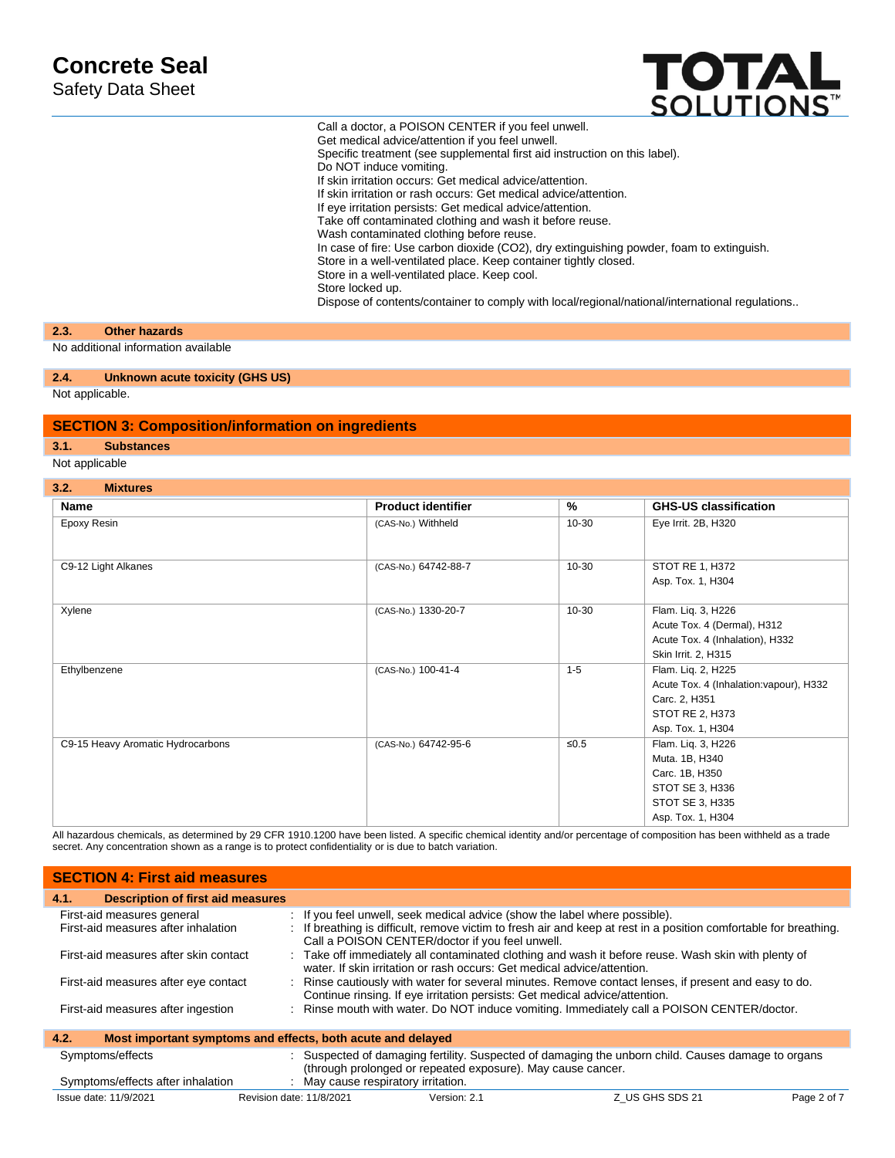Safety Data Sheet



Call a doctor, a POISON CENTER if you feel unwell. Get medical advice/attention if you feel unwell. Specific treatment (see supplemental first aid instruction on this label). Do NOT induce vomiting. If skin irritation occurs: Get medical advice/attention. If skin irritation or rash occurs: Get medical advice/attention. If eye irritation persists: Get medical advice/attention. Take off contaminated clothing and wash it before reuse. Wash contaminated clothing before reuse. In case of fire: Use carbon dioxide (CO2), dry extinguishing powder, foam to extinguish. Store in a well-ventilated place. Keep container tightly closed. Store in a well-ventilated place. Keep cool. Store locked up. Dispose of contents/container to comply with local/regional/national/international regulations..

#### **2.3. Other hazards**

No additional information available

#### **2.4. Unknown acute toxicity (GHS US)**

Not applicable.

#### **SECTION 3: Composition/information on ingredients**

#### **3.1. Substances**

Not applicable

#### **3.2. Mixtures**

| Name                              | <b>Product identifier</b> | $\%$      | <b>GHS-US classification</b>            |
|-----------------------------------|---------------------------|-----------|-----------------------------------------|
| Epoxy Resin                       | (CAS-No.) Withheld        | 10-30     | Eye Irrit. 2B, H320                     |
|                                   |                           |           |                                         |
| C9-12 Light Alkanes               | (CAS-No.) 64742-88-7      | 10-30     | STOT RE 1, H372                         |
|                                   |                           |           | Asp. Tox. 1, H304                       |
|                                   |                           |           |                                         |
| Xylene                            | (CAS-No.) 1330-20-7       | $10 - 30$ | Flam. Liq. 3, H226                      |
|                                   |                           |           | Acute Tox. 4 (Dermal), H312             |
|                                   |                           |           | Acute Tox. 4 (Inhalation), H332         |
|                                   |                           |           | Skin Irrit. 2, H315                     |
| Ethylbenzene                      | (CAS-No.) 100-41-4        | $1 - 5$   | Flam. Lig. 2, H225                      |
|                                   |                           |           | Acute Tox. 4 (Inhalation: vapour), H332 |
|                                   |                           |           | Carc. 2, H351                           |
|                                   |                           |           | STOT RE 2, H373                         |
|                                   |                           |           | Asp. Tox. 1, H304                       |
| C9-15 Heavy Aromatic Hydrocarbons | (CAS-No.) 64742-95-6      | ≤ $0.5$   | Flam. Liq. 3, H226                      |
|                                   |                           |           | Muta. 1B, H340                          |
|                                   |                           |           | Carc. 1B, H350                          |
|                                   |                           |           | STOT SE 3, H336                         |
|                                   |                           |           | STOT SE 3, H335                         |
|                                   |                           |           | Asp. Tox. 1, H304                       |

All hazardous chemicals, as determined by 29 CFR 1910.1200 have been listed. A specific chemical identity and/or percentage of composition has been withheld as a trade secret. Any concentration shown as a range is to protect confidentiality or is due to batch variation.

| <b>SECTION 4: First aid measures</b>                                |                                                                                                                                                                                                                                                    |
|---------------------------------------------------------------------|----------------------------------------------------------------------------------------------------------------------------------------------------------------------------------------------------------------------------------------------------|
| <b>Description of first aid measures</b><br>4.1.                    |                                                                                                                                                                                                                                                    |
| First-aid measures general<br>First-aid measures after inhalation   | : If you feel unwell, seek medical advice (show the label where possible).<br>: If breathing is difficult, remove victim to fresh air and keep at rest in a position comfortable for breathing.<br>Call a POISON CENTER/doctor if you feel unwell. |
| First-aid measures after skin contact                               | : Take off immediately all contaminated clothing and wash it before reuse. Wash skin with plenty of<br>water. If skin irritation or rash occurs: Get medical advice/attention.                                                                     |
| First-aid measures after eye contact                                | : Rinse cautiously with water for several minutes. Remove contact lenses, if present and easy to do.<br>Continue rinsing. If eye irritation persists: Get medical advice/attention.                                                                |
| First-aid measures after ingestion                                  | : Rinse mouth with water. Do NOT induce vomiting. Immediately call a POISON CENTER/doctor.                                                                                                                                                         |
| Most important symptoms and effects, both acute and delayed<br>4.2. |                                                                                                                                                                                                                                                    |
| Symptoms/effects                                                    | : Suspected of damaging fertility. Suspected of damaging the unborn child. Causes damage to organs<br>(through prolonged or repeated exposure). May cause cancer.                                                                                  |
| Symptoms/effects after inhalation                                   | : May cause respiratory irritation.                                                                                                                                                                                                                |

Issue date: 11/9/2021 Revision date: 11/8/2021 Version: 2.1 Z\_US GHS SDS 21 Page 2 of 7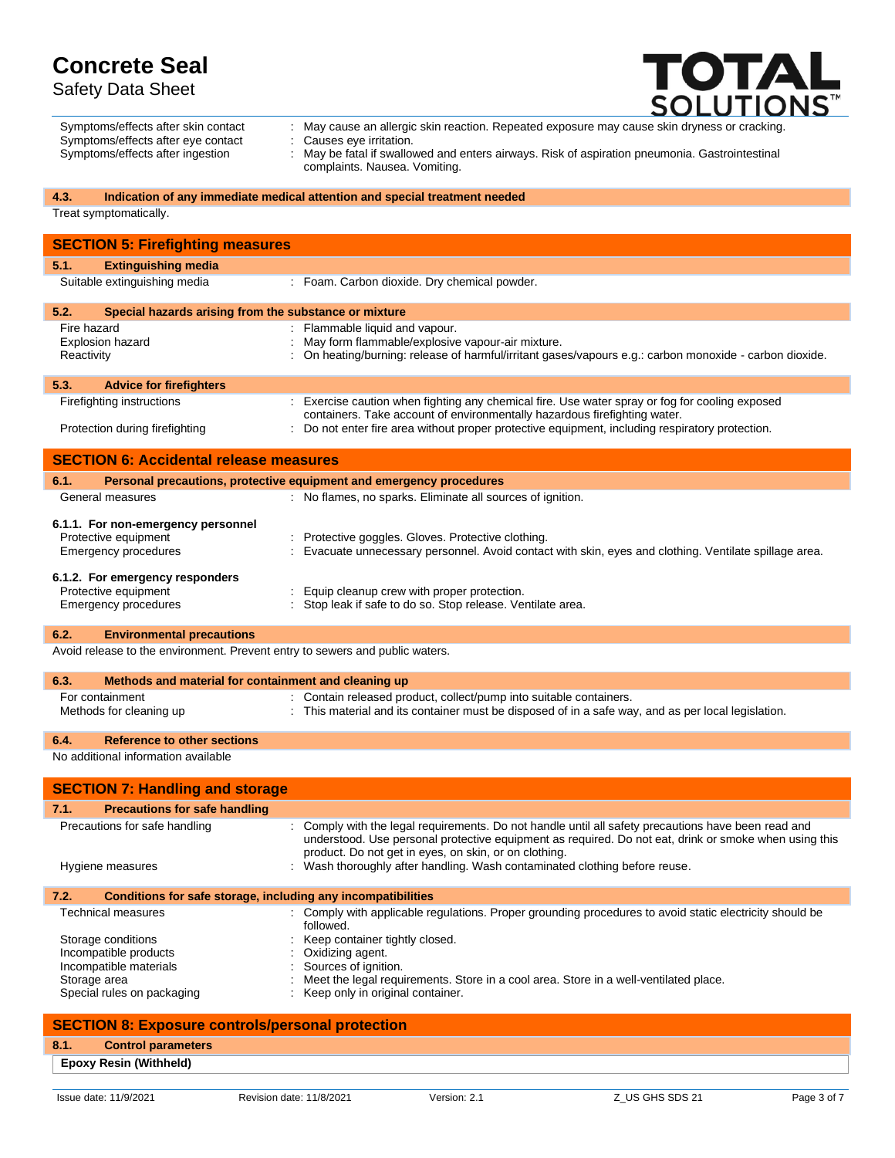Safety Data Sheet



|                                                                                                                  | <b>SULUTIUNS</b>                                                                                        |
|------------------------------------------------------------------------------------------------------------------|---------------------------------------------------------------------------------------------------------|
| Symptoms/effects after skin contact                                                                              | May cause an allergic skin reaction. Repeated exposure may cause skin dryness or cracking.              |
| Symptoms/effects after eye contact                                                                               | Causes eye irritation.                                                                                  |
| Symptoms/effects after ingestion                                                                                 | May be fatal if swallowed and enters airways. Risk of aspiration pneumonia. Gastrointestinal            |
|                                                                                                                  | complaints. Nausea. Vomiting.                                                                           |
| 4.3.                                                                                                             | Indication of any immediate medical attention and special treatment needed                              |
| Treat symptomatically.                                                                                           |                                                                                                         |
|                                                                                                                  |                                                                                                         |
| <b>SECTION 5: Firefighting measures</b>                                                                          |                                                                                                         |
| 5.1.<br><b>Extinguishing media</b>                                                                               |                                                                                                         |
| Suitable extinguishing media                                                                                     | : Foam. Carbon dioxide. Dry chemical powder.                                                            |
|                                                                                                                  |                                                                                                         |
| 5.2.<br>Special hazards arising from the substance or mixture                                                    |                                                                                                         |
| Fire hazard                                                                                                      | : Flammable liquid and vapour.                                                                          |
| Explosion hazard                                                                                                 | May form flammable/explosive vapour-air mixture.                                                        |
| Reactivity                                                                                                       | : On heating/burning: release of harmful/irritant gases/vapours e.g.: carbon monoxide - carbon dioxide. |
| 5.3.<br><b>Advice for firefighters</b>                                                                           |                                                                                                         |
| Firefighting instructions                                                                                        | : Exercise caution when fighting any chemical fire. Use water spray or fog for cooling exposed          |
|                                                                                                                  | containers. Take account of environmentally hazardous firefighting water.                               |
| Protection during firefighting                                                                                   | : Do not enter fire area without proper protective equipment, including respiratory protection.         |
|                                                                                                                  |                                                                                                         |
| <b>SECTION 6: Accidental release measures</b>                                                                    |                                                                                                         |
| 6.1.                                                                                                             | Personal precautions, protective equipment and emergency procedures                                     |
| General measures                                                                                                 | : No flames, no sparks. Eliminate all sources of ignition.                                              |
|                                                                                                                  |                                                                                                         |
| 6.1.1. For non-emergency personnel<br>Protective equipment                                                       | Protective goggles. Gloves. Protective clothing                                                         |
| Emergency procedures                                                                                             | : Evacuate unnecessary personnel. Avoid contact with skin, eyes and clothing. Ventilate spillage area.  |
|                                                                                                                  |                                                                                                         |
| 6.1.2. For emergency responders                                                                                  |                                                                                                         |
| Protective equipment                                                                                             | Equip cleanup crew with proper protection.                                                              |
| Emergency procedures                                                                                             | : Stop leak if safe to do so. Stop release. Ventilate area.                                             |
| 6.2.                                                                                                             |                                                                                                         |
| <b>Environmental precautions</b><br>Avoid release to the environment. Prevent entry to sewers and public waters. |                                                                                                         |
|                                                                                                                  |                                                                                                         |
| 6.3.<br>Methods and material for containment and cleaning up                                                     |                                                                                                         |
| For containment                                                                                                  | : Contain released product, collect/pump into suitable containers.                                      |
| Methods for cleaning up                                                                                          | : This material and its container must be disposed of in a safe way, and as per local legislation.      |
|                                                                                                                  |                                                                                                         |
| <b>Reference to other sections</b><br>6.4.                                                                       |                                                                                                         |
| No additional information available                                                                              |                                                                                                         |
|                                                                                                                  |                                                                                                         |
| <b>SECTION 7: Handling and storage</b>                                                                           |                                                                                                         |

| <b>Precautions for safe handling</b><br>7.1.                         |                                                                                                                                                                                                                                                                                                                                                     |
|----------------------------------------------------------------------|-----------------------------------------------------------------------------------------------------------------------------------------------------------------------------------------------------------------------------------------------------------------------------------------------------------------------------------------------------|
| Precautions for safe handling<br>Hygiene measures                    | : Comply with the legal requirements. Do not handle until all safety precautions have been read and<br>understood. Use personal protective equipment as required. Do not eat, drink or smoke when using this<br>product. Do not get in eyes, on skin, or on clothing.<br>: Wash thoroughly after handling. Wash contaminated clothing before reuse. |
| Conditions for safe storage, including any incompatibilities<br>7.2. |                                                                                                                                                                                                                                                                                                                                                     |
| Technical measures                                                   | : Comply with applicable regulations. Proper grounding procedures to avoid static electricity should be<br>followed.                                                                                                                                                                                                                                |
| Storage conditions                                                   | : Keep container tightly closed.                                                                                                                                                                                                                                                                                                                    |
| Incompatible products                                                | : Oxidizing agent.                                                                                                                                                                                                                                                                                                                                  |
| Incompatible materials                                               | : Sources of ignition.                                                                                                                                                                                                                                                                                                                              |
| Storage area                                                         | Meet the lenal requirements. Store in a cool area. Store in a well-ventilated place                                                                                                                                                                                                                                                                 |

Storage area : Meet the legal requirements. Store in a cool area. Store in a well-ventilated place.

Special rules on packaging **interpretient only in original container.** 

## **SECTION 8: Exposure controls/personal protection**

## **8.1. Control parameters**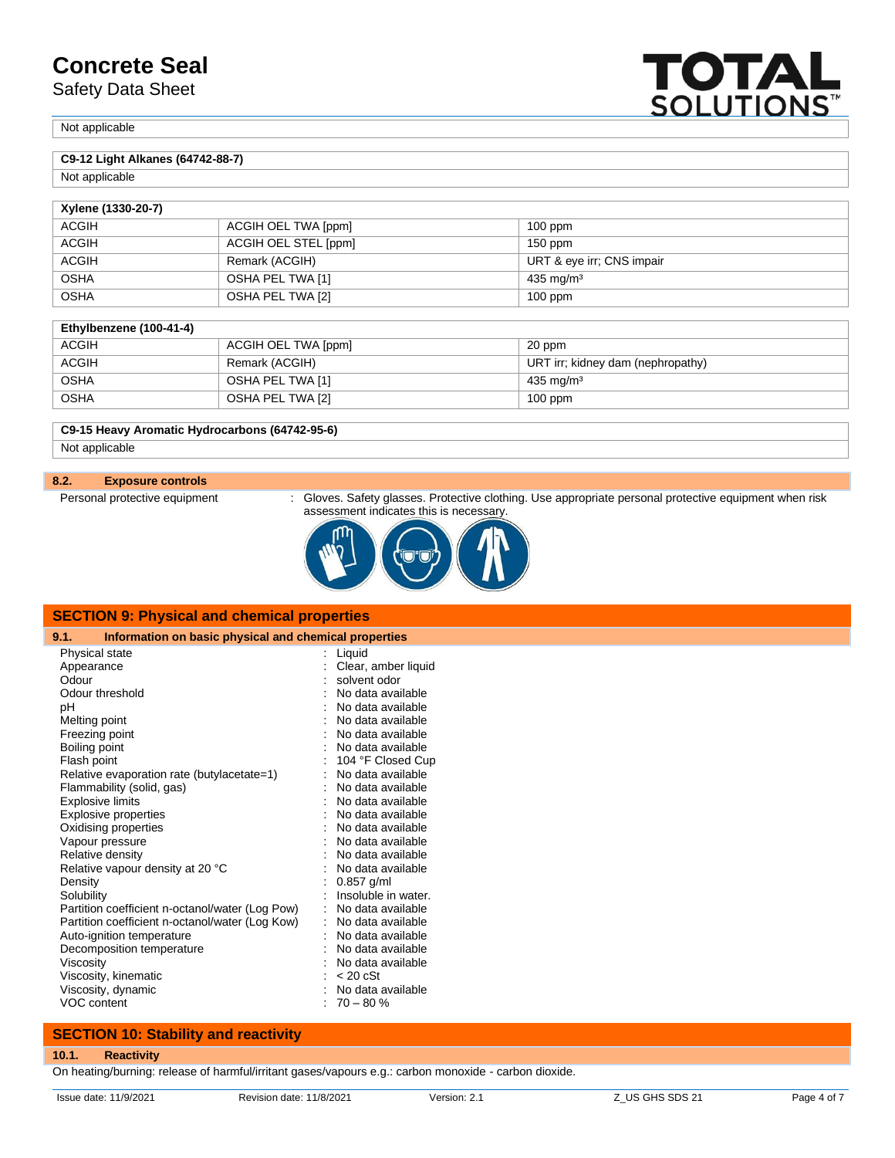Safety Data Sheet

Not applicable

### **C9-12 Light Alkanes (64742-88-7)**

Not applicable

| Xylene (1330-20-7) |                      |                           |  |  |
|--------------------|----------------------|---------------------------|--|--|
| <b>ACGIH</b>       | ACGIH OEL TWA [ppm]  | $100$ ppm                 |  |  |
| <b>ACGIH</b>       | ACGIH OEL STEL [ppm] | $150$ ppm                 |  |  |
| <b>ACGIH</b>       | Remark (ACGIH)       | URT & eye irr; CNS impair |  |  |
| <b>OSHA</b>        | OSHA PEL TWA [1]     | $435 \text{ mg/m}^3$      |  |  |
| <b>OSHA</b>        | OSHA PEL TWA [2]     | $100$ ppm                 |  |  |

#### **Ethylbenzene (100-41-4)**

| <b>ACGIH</b> | ACGIH OEL TWA [ppm] | 20 ppm                            |
|--------------|---------------------|-----------------------------------|
| <b>ACGIH</b> | Remark (ACGIH)      | URT irr; kidney dam (nephropathy) |
| <b>OSHA</b>  | OSHA PEL TWA [1]    | $435 \text{ mg/m}^3$              |
| <b>OSHA</b>  | OSHA PEL TWA [2]    | $100$ ppm                         |

# **C9-15 Heavy Aromatic Hydrocarbons (64742-95-6)**

Not applicable

#### **8.2. Exposure controls**

Personal protective equipment : Gloves. Safety glasses. Protective clothing. Use appropriate personal protective equipment when risk assessment indicates this is necessary.

**TOTAL**<br>SOLUTIONS



| <b>SECTION 9: Physical and chemical properties</b> |                                                       |  |  |  |
|----------------------------------------------------|-------------------------------------------------------|--|--|--|
| 9.1.                                               | Information on basic physical and chemical properties |  |  |  |
| Physical state                                     | Liquid                                                |  |  |  |
| Appearance                                         | Clear, amber liquid                                   |  |  |  |
| Odour                                              | solvent odor                                          |  |  |  |
| Odour threshold                                    | No data available                                     |  |  |  |
| рH                                                 | No data available                                     |  |  |  |
| Melting point                                      | No data available                                     |  |  |  |
| Freezing point                                     | No data available                                     |  |  |  |
| Boiling point                                      | No data available                                     |  |  |  |
| Flash point                                        | 104 °F Closed Cup                                     |  |  |  |
| Relative evaporation rate (butylacetate=1)         | No data available                                     |  |  |  |
| Flammability (solid, gas)                          | No data available                                     |  |  |  |
| <b>Explosive limits</b>                            | No data available                                     |  |  |  |
| Explosive properties                               | No data available                                     |  |  |  |
| Oxidising properties                               | No data available                                     |  |  |  |
| Vapour pressure                                    | No data available                                     |  |  |  |
| Relative density                                   | No data available                                     |  |  |  |
| Relative vapour density at 20 °C                   | No data available                                     |  |  |  |
| Density                                            | $0.857$ g/ml                                          |  |  |  |
| Solubility                                         | Insoluble in water.                                   |  |  |  |
| Partition coefficient n-octanol/water (Log Pow)    | No data available                                     |  |  |  |
| Partition coefficient n-octanol/water (Log Kow)    | No data available                                     |  |  |  |
| Auto-ignition temperature                          | No data available                                     |  |  |  |
| Decomposition temperature                          | No data available                                     |  |  |  |
| Viscosity                                          | No data available                                     |  |  |  |
| Viscosity, kinematic                               | $< 20 \text{ cSt}$                                    |  |  |  |
| Viscosity, dynamic                                 | No data available                                     |  |  |  |
| VOC content                                        | $70 - 80%$                                            |  |  |  |

#### **SECTION 10: Stability and reactivity**

### **10.1. Reactivity**

On heating/burning: release of harmful/irritant gases/vapours e.g.: carbon monoxide - carbon dioxide.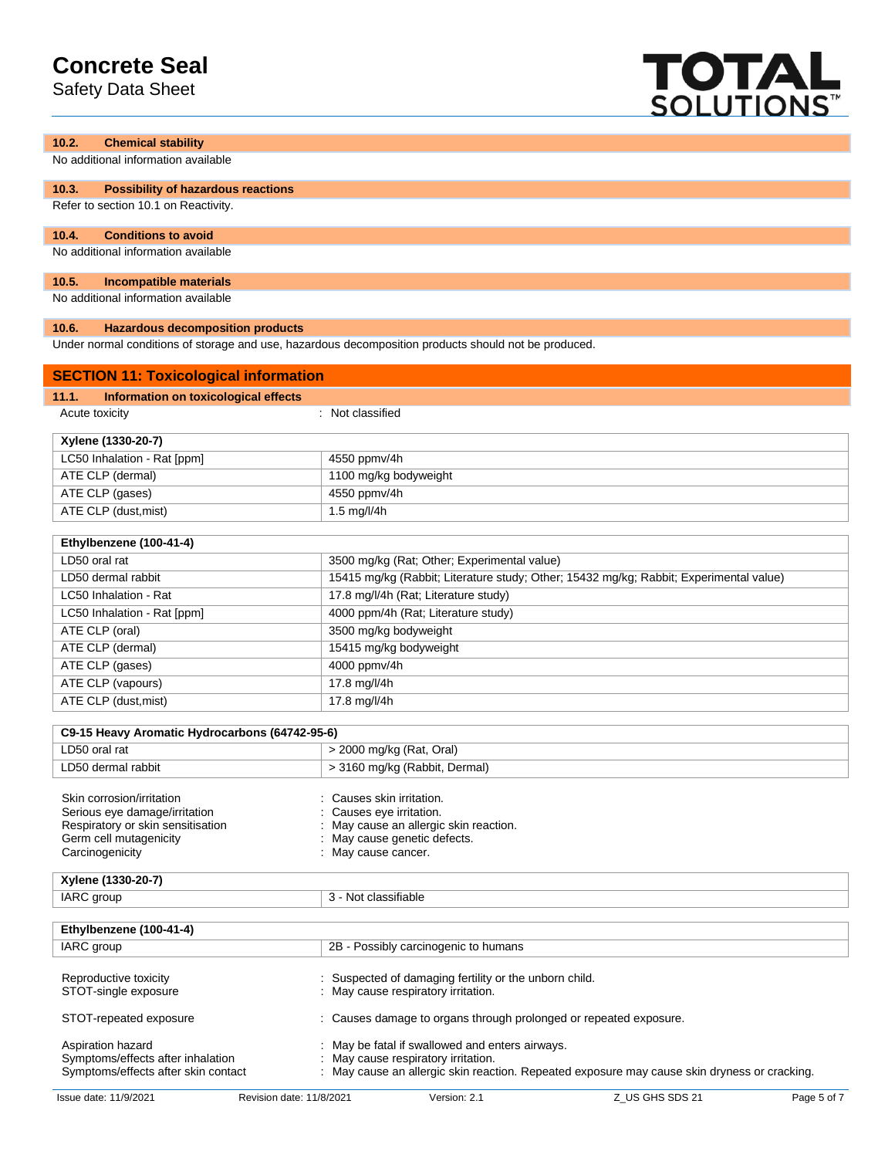Safety Data Sheet



| 10.2.<br><b>Chemical stability</b>                 |                                                                                                      |
|----------------------------------------------------|------------------------------------------------------------------------------------------------------|
| No additional information available                |                                                                                                      |
| 10.3.<br><b>Possibility of hazardous reactions</b> |                                                                                                      |
| Refer to section 10.1 on Reactivity.               |                                                                                                      |
| 10.4.<br><b>Conditions to avoid</b>                |                                                                                                      |
| No additional information available                |                                                                                                      |
| 10.5.<br><b>Incompatible materials</b>             |                                                                                                      |
| No additional information available                |                                                                                                      |
| 10.6.<br><b>Hazardous decomposition products</b>   |                                                                                                      |
|                                                    | Under normal conditions of storage and use, hazardous decomposition products should not be produced. |
| <b>SECTION 11: Toxicological information</b>       |                                                                                                      |
| Information on toxicological effects<br>11.1.      |                                                                                                      |
| Acute toxicity                                     | : Not classified                                                                                     |
| Xylene (1330-20-7)                                 |                                                                                                      |
| LC50 Inhalation - Rat [ppm]                        | 4550 ppmv/4h                                                                                         |
| ATE CLP (dermal)                                   | 1100 mg/kg bodyweight                                                                                |
| ATE CLP (gases)                                    | 4550 ppmv/4h                                                                                         |
| ATE CLP (dust, mist)                               | $1.5$ mg/l/4h                                                                                        |
| Ethylbenzene (100-41-4)                            |                                                                                                      |
| LD50 oral rat                                      | 3500 mg/kg (Rat; Other; Experimental value)                                                          |
| LD50 dermal rabbit                                 | 15415 mg/kg (Rabbit; Literature study; Other; 15432 mg/kg; Rabbit; Experimental value)               |
| LC50 Inhalation - Rat                              | 17.8 mg/l/4h (Rat; Literature study)                                                                 |
| LC50 Inhalation - Rat [ppm]                        | 4000 ppm/4h (Rat; Literature study)                                                                  |
| ATE CLP (oral)                                     | 3500 mg/kg bodyweight                                                                                |
| ATE CLP (dermal)                                   | 15415 mg/kg bodyweight                                                                               |
| ATE CLP (gases)                                    | 4000 ppmv/4h                                                                                         |
| ATE CLP (vapours)                                  | 17.8 mg/l/4h                                                                                         |
| ATE CLP (dust, mist)                               | 17.8 mg/l/4h                                                                                         |
|                                                    |                                                                                                      |
| C9-15 Heavy Aromatic Hydrocarbons (64742-95-6)     |                                                                                                      |
| LD50 oral rat                                      | > 2000 mg/kg (Rat, Oral)                                                                             |
| LD50 dermal rabbit                                 | > 3160 mg/kg (Rabbit, Dermal)                                                                        |
| Skin corrosion/irritation                          | Causes skin irritation.                                                                              |
| Serious eye damage/irritation                      | Causes eye irritation.                                                                               |
| Respiratory or skin sensitisation                  | May cause an allergic skin reaction.                                                                 |
| Germ cell mutagenicity<br>Carcinogenicity          | May cause genetic defects.<br>May cause cancer.                                                      |
|                                                    |                                                                                                      |
| Xylene (1330-20-7)                                 |                                                                                                      |
| <b>IARC</b> group                                  | 3 - Not classifiable                                                                                 |
| Ethylbenzene (100-41-4)                            |                                                                                                      |
| <b>IARC</b> group                                  | 2B - Possibly carcinogenic to humans                                                                 |
| Reproductive toxicity<br>STOT-single exposure      | Suspected of damaging fertility or the unborn child.<br>May cause respiratory irritation.            |
| STOT-repeated exposure                             | : Causes damage to organs through prolonged or repeated exposure.                                    |
| Aspiration hazard                                  | May be fatal if swallowed and enters airways.                                                        |
| Symptoms/effects after inhalation                  | May cause respiratory irritation.                                                                    |
| Symptoms/effects after skin contact                | May cause an allergic skin reaction. Repeated exposure may cause skin dryness or cracking.           |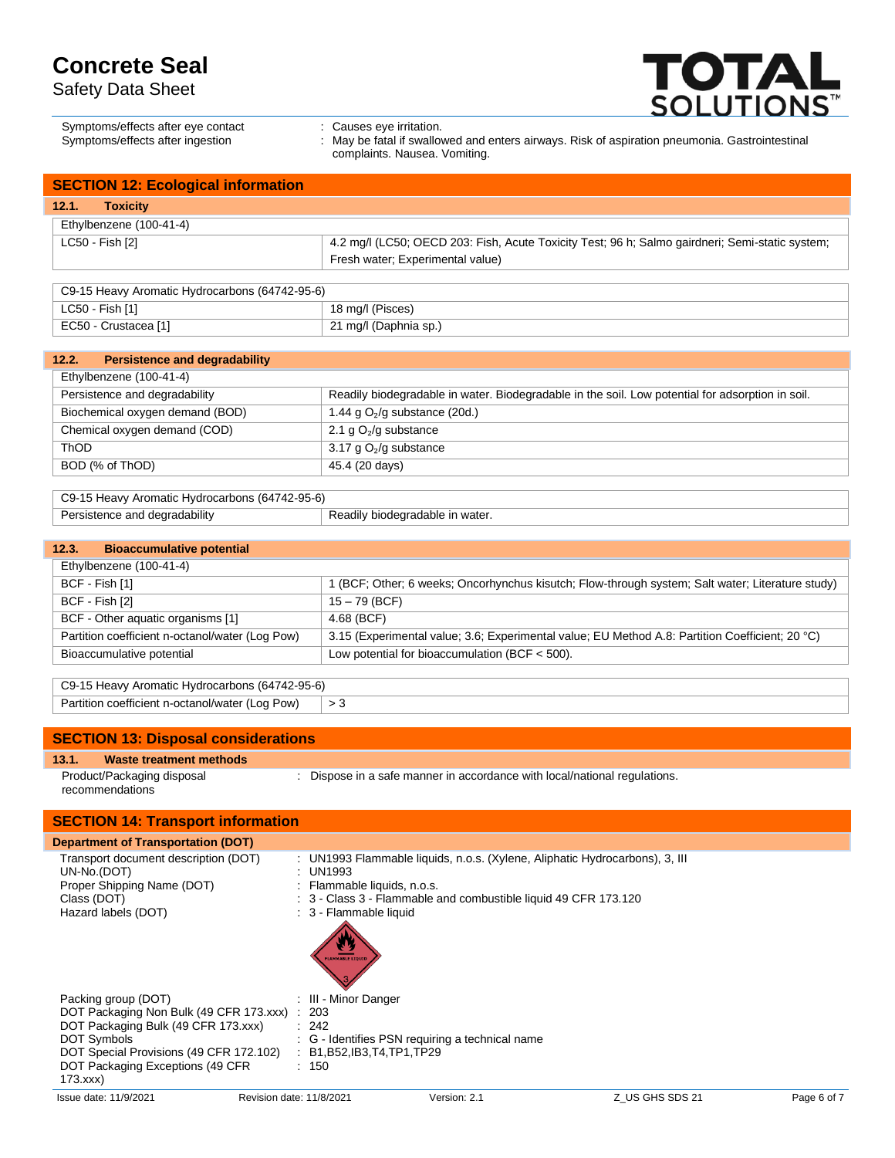Safety Data Sheet



| Symptoms/effects after eye contact<br>Symptoms/effects after ingestion | : Causes eve irritation.<br>: May be fatal if swallowed and enters airways. Risk of aspiration pneumonia. Gastrointestinal |
|------------------------------------------------------------------------|----------------------------------------------------------------------------------------------------------------------------|
|                                                                        | complaints. Nausea. Vomiting.                                                                                              |

| <b>SECTION 12: Ecological information</b> |                                                                                                 |  |
|-------------------------------------------|-------------------------------------------------------------------------------------------------|--|
| 12.1.<br><b>Toxicity</b>                  |                                                                                                 |  |
| Ethylbenzene (100-41-4)                   |                                                                                                 |  |
| LC50 - Fish [2]                           | 4.2 mg/l (LC50; OECD 203: Fish, Acute Toxicity Test; 96 h; Salmo gairdneri; Semi-static system; |  |
|                                           | Fresh water; Experimental value)                                                                |  |

| C9-15 Heavy Aromatic Hydrocarbons (64742-95-6) |                       |  |
|------------------------------------------------|-----------------------|--|
| LC50 - Fish [1]                                | 18 mg/l (Pisces)      |  |
| EC50 - Crustacea [1]                           | 21 mg/l (Daphnia sp.) |  |

| <b>Persistence and degradability</b><br>12.2. |                                                                                                  |
|-----------------------------------------------|--------------------------------------------------------------------------------------------------|
| Ethylbenzene (100-41-4)                       |                                                                                                  |
| Persistence and degradability                 | Readily biodegradable in water. Biodegradable in the soil. Low potential for adsorption in soil. |
| Biochemical oxygen demand (BOD)               | 1.44 g $O_2$ /g substance (20d.)                                                                 |
| Chemical oxygen demand (COD)                  | 2.1 g $O2/g$ substance                                                                           |
| <b>ThOD</b>                                   | 3.17 g $O_2$ /g substance                                                                        |
| BOD (% of ThOD)                               | 45.4 (20 days)                                                                                   |
|                                               |                                                                                                  |

| C9-15 Heavy Aromatic Hydrocarbons (64742-95-6) |                                 |  |
|------------------------------------------------|---------------------------------|--|
| Persistence and degradability                  | Readily biodegradable in water. |  |

## **12.3. Bioaccumulative potential**

| Ethylbenzene (100-41-4)                         |                                                                                                  |
|-------------------------------------------------|--------------------------------------------------------------------------------------------------|
| BCF - Fish [1]                                  | 1 (BCF; Other; 6 weeks; Oncorhynchus kisutch; Flow-through system; Salt water; Literature study) |
| BCF - Fish [2]                                  | $15 - 79$ (BCF)                                                                                  |
| BCF - Other aquatic organisms [1]               | 4.68 (BCF)                                                                                       |
| Partition coefficient n-octanol/water (Log Pow) | 3.15 (Experimental value; 3.6; Experimental value; EU Method A.8: Partition Coefficient; 20 °C)  |
| Bioaccumulative potential                       | Low potential for bioaccumulation (BCF $<$ 500).                                                 |

| $\vert$ C9-15 Heavy Aromatic Hydrocarbons (64742-95-6) |  |  |
|--------------------------------------------------------|--|--|
| Partition coefficient n-octanol/water (Log Pow)        |  |  |

### **SECTION 13: Disposal considerations**

#### **13.1. Waste treatment methods**

Product/Packaging disposal recommendations

: Dispose in a safe manner in accordance with local/national regulations.

| <b>SECTION 14: Transport information</b>                                                                                                                                                                             |                                                                                              |                                                                                                                                                |                 |             |
|----------------------------------------------------------------------------------------------------------------------------------------------------------------------------------------------------------------------|----------------------------------------------------------------------------------------------|------------------------------------------------------------------------------------------------------------------------------------------------|-----------------|-------------|
| <b>Department of Transportation (DOT)</b>                                                                                                                                                                            |                                                                                              |                                                                                                                                                |                 |             |
| Transport document description (DOT)<br>UN-No.(DOT)<br>Proper Shipping Name (DOT)<br>Class (DOT)<br>Hazard labels (DOT)                                                                                              | : UN1993<br>: Flammable liquids, n.o.s.<br>: 3 - Flammable liquid<br><b>FLAMMABLE LIQUID</b> | : UN1993 Flammable liquids, n.o.s. (Xylene, Aliphatic Hydrocarbons), 3, III<br>: 3 - Class 3 - Flammable and combustible liquid 49 CFR 173.120 |                 |             |
| Packing group (DOT)<br>DOT Packaging Non Bulk (49 CFR 173.xxx) : 203<br>DOT Packaging Bulk (49 CFR 173.xxx)<br>DOT Symbols<br>DOT Special Provisions (49 CFR 172.102)<br>DOT Packaging Exceptions (49 CFR<br>173.xxx | : III - Minor Danger<br>: 242<br>: B1, B52, IB3, T4, TP1, TP29<br>: 150                      | : G - Identifies PSN requiring a technical name                                                                                                |                 |             |
| Issue date: 11/9/2021                                                                                                                                                                                                | Revision date: 11/8/2021                                                                     | Version: 2.1                                                                                                                                   | Z US GHS SDS 21 | Page 6 of 7 |